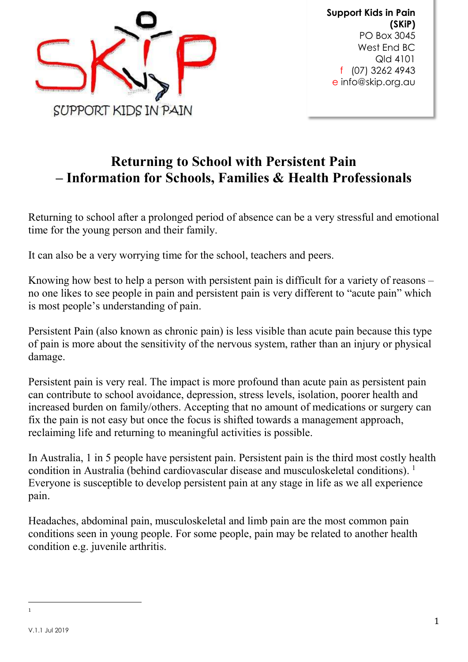

Support Kids in Pain (SKiP) PO Box 3045 West End BC Qld 4101 f (07) 3262 4943 e info@skip.org.au

# Returning to School with Persistent Pain – Information for Schools, Families & Health Professionals

Returning to school after a prolonged period of absence can be a very stressful and emotional time for the young person and their family.

It can also be a very worrying time for the school, teachers and peers.

Knowing how best to help a person with persistent pain is difficult for a variety of reasons – no one likes to see people in pain and persistent pain is very different to "acute pain" which is most people's understanding of pain.

Persistent Pain (also known as chronic pain) is less visible than acute pain because this type of pain is more about the sensitivity of the nervous system, rather than an injury or physical damage.

Persistent pain is very real. The impact is more profound than acute pain as persistent pain can contribute to school avoidance, depression, stress levels, isolation, poorer health and increased burden on family/others. Accepting that no amount of medications or surgery can fix the pain is not easy but once the focus is shifted towards a management approach, reclaiming life and returning to meaningful activities is possible.

In Australia, 1 in 5 people have persistent pain. Persistent pain is the third most costly health condition in Australia (behind cardiovascular disease and musculoskeletal conditions).<sup>1</sup> Everyone is susceptible to develop persistent pain at any stage in life as we all experience pain.

Headaches, abdominal pain, musculoskeletal and limb pain are the most common pain conditions seen in young people. For some people, pain may be related to another health condition e.g. juvenile arthritis.

 $\overline{a}$ 1

V.1.1 Jul 2019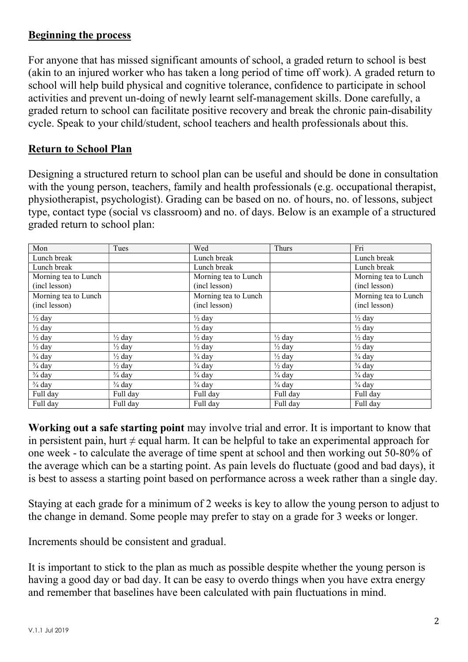#### Beginning the process

For anyone that has missed significant amounts of school, a graded return to school is best (akin to an injured worker who has taken a long period of time off work). A graded return to school will help build physical and cognitive tolerance, confidence to participate in school activities and prevent un-doing of newly learnt self-management skills. Done carefully, a graded return to school can facilitate positive recovery and break the chronic pain-disability cycle. Speak to your child/student, school teachers and health professionals about this.

#### Return to School Plan

Designing a structured return to school plan can be useful and should be done in consultation with the young person, teachers, family and health professionals (e.g. occupational therapist, physiotherapist, psychologist). Grading can be based on no. of hours, no. of lessons, subject type, contact type (social vs classroom) and no. of days. Below is an example of a structured graded return to school plan:

| Mon                  | Tues              | Wed                  | Thurs             | Fri                  |
|----------------------|-------------------|----------------------|-------------------|----------------------|
| Lunch break          |                   | Lunch break          |                   | Lunch break          |
| Lunch break          |                   | Lunch break          |                   | Lunch break          |
| Morning tea to Lunch |                   | Morning tea to Lunch |                   | Morning tea to Lunch |
| (incl lesson)        |                   | (incl lesson)        |                   | (incl lesson)        |
| Morning tea to Lunch |                   | Morning tea to Lunch |                   | Morning tea to Lunch |
| (incl lesson)        |                   | (incl lesson)        |                   | (incl lesson)        |
| $\frac{1}{2}$ day    |                   | $\frac{1}{2}$ day    |                   | $\frac{1}{2}$ day    |
| $\frac{1}{2}$ day    |                   | $\frac{1}{2}$ day    |                   | $\frac{1}{2}$ day    |
| $\frac{1}{2}$ day    | $\frac{1}{2}$ day | $\frac{1}{2}$ day    | $\frac{1}{2}$ day | $\frac{1}{2}$ day    |
| $\frac{1}{2}$ day    | $\frac{1}{2}$ day | $\frac{1}{2}$ day    | $\frac{1}{2}$ day | $\frac{1}{2}$ day    |
| $\frac{3}{4}$ day    | $\frac{1}{2}$ day | $\frac{3}{4}$ day    | $\frac{1}{2}$ day | $\frac{3}{4}$ day    |
| $\frac{3}{4}$ day    | $\frac{1}{2}$ day | $\frac{3}{4}$ day    | $\frac{1}{2}$ day | $\frac{3}{4}$ day    |
| $\frac{3}{4}$ day    | $\frac{3}{4}$ day | $\frac{3}{4}$ day    | $\frac{3}{4}$ day | $\frac{3}{4}$ day    |
| $\frac{3}{4}$ day    | $\frac{3}{4}$ day | $\frac{3}{4}$ day    | $\frac{3}{4}$ day | $\frac{3}{4}$ day    |
| Full day             | Full day          | Full day             | Full day          | Full day             |
| Full day             | Full day          | Full day             | Full day          | Full day             |

Working out a safe starting point may involve trial and error. It is important to know that in persistent pain, hurt  $\neq$  equal harm. It can be helpful to take an experimental approach for one week - to calculate the average of time spent at school and then working out 50-80% of the average which can be a starting point. As pain levels do fluctuate (good and bad days), it is best to assess a starting point based on performance across a week rather than a single day.

Staying at each grade for a minimum of 2 weeks is key to allow the young person to adjust to the change in demand. Some people may prefer to stay on a grade for 3 weeks or longer.

Increments should be consistent and gradual.

It is important to stick to the plan as much as possible despite whether the young person is having a good day or bad day. It can be easy to overdo things when you have extra energy and remember that baselines have been calculated with pain fluctuations in mind.